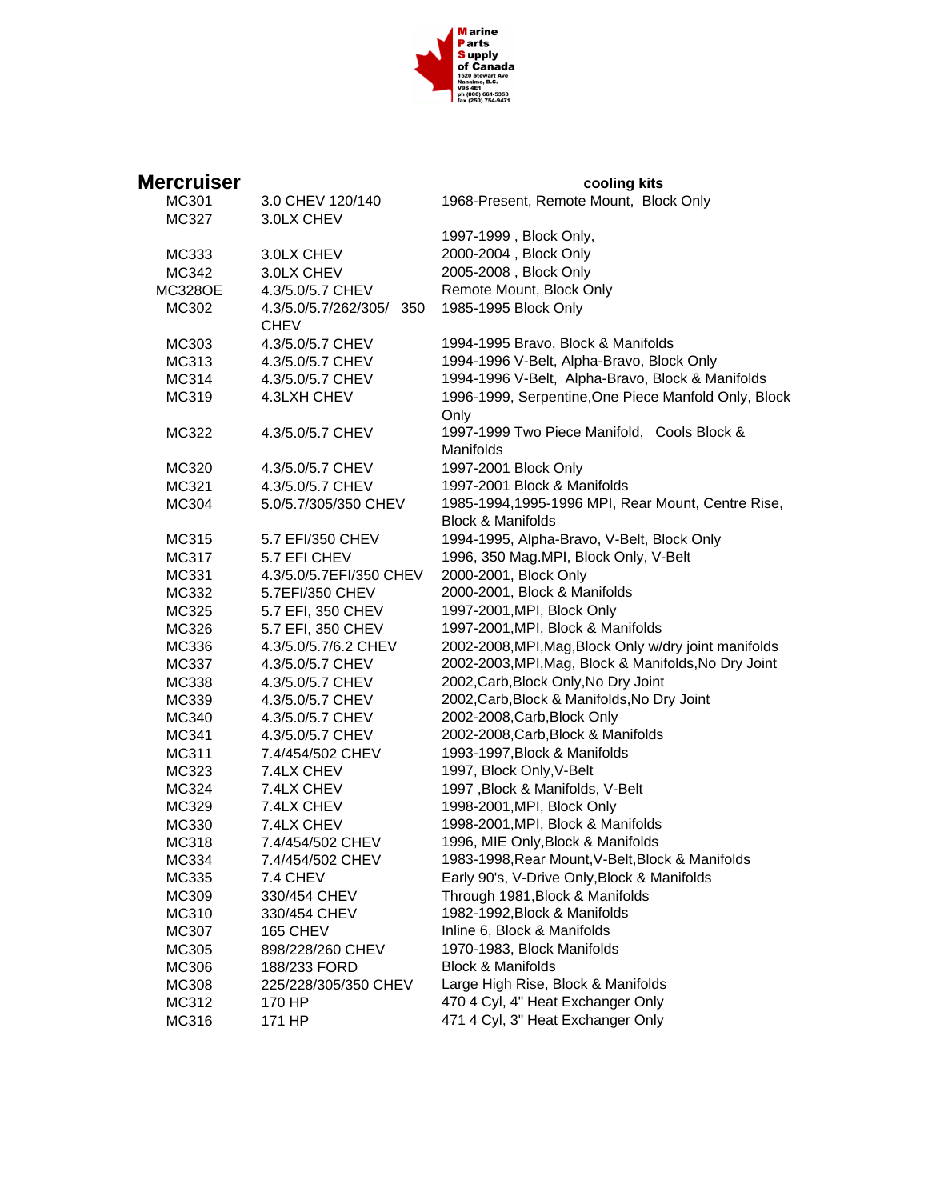

| Mercruiser     |                          | cooling kits                                          |
|----------------|--------------------------|-------------------------------------------------------|
| MC301          | 3.0 CHEV 120/140         | 1968-Present, Remote Mount, Block Only                |
| MC327          | 3.0LX CHEV               |                                                       |
|                |                          | 1997-1999, Block Only,                                |
| MC333          | 3.0LX CHEV               | 2000-2004, Block Only                                 |
| MC342          | 3.0LX CHEV               | 2005-2008, Block Only                                 |
| <b>MC328OE</b> | 4.3/5.0/5.7 CHEV         | Remote Mount, Block Only                              |
| MC302          | 4.3/5.0/5.7/262/305/ 350 | 1985-1995 Block Only                                  |
|                | <b>CHEV</b>              |                                                       |
| MC303          | 4.3/5.0/5.7 CHEV         | 1994-1995 Bravo, Block & Manifolds                    |
| MC313          | 4.3/5.0/5.7 CHEV         | 1994-1996 V-Belt, Alpha-Bravo, Block Only             |
| MC314          | 4.3/5.0/5.7 CHEV         | 1994-1996 V-Belt, Alpha-Bravo, Block & Manifolds      |
| MC319          | 4.3LXH CHEV              | 1996-1999, Serpentine, One Piece Manfold Only, Block  |
|                |                          | Only                                                  |
| MC322          | 4.3/5.0/5.7 CHEV         | 1997-1999 Two Piece Manifold, Cools Block &           |
|                |                          | Manifolds                                             |
| MC320          | 4.3/5.0/5.7 CHEV         | 1997-2001 Block Only                                  |
| MC321          | 4.3/5.0/5.7 CHEV         | 1997-2001 Block & Manifolds                           |
| MC304          | 5.0/5.7/305/350 CHEV     | 1985-1994,1995-1996 MPI, Rear Mount, Centre Rise,     |
|                |                          | <b>Block &amp; Manifolds</b>                          |
| MC315          | 5.7 EFI/350 CHEV         | 1994-1995, Alpha-Bravo, V-Belt, Block Only            |
| MC317          | 5.7 EFI CHEV             | 1996, 350 Mag.MPI, Block Only, V-Belt                 |
| MC331          | 4.3/5.0/5.7EFI/350 CHEV  | 2000-2001, Block Only                                 |
| MC332          | 5.7EFI/350 CHEV          | 2000-2001, Block & Manifolds                          |
| MC325          | 5.7 EFI, 350 CHEV        | 1997-2001, MPI, Block Only                            |
| MC326          | 5.7 EFI, 350 CHEV        | 1997-2001, MPI, Block & Manifolds                     |
| MC336          | 4.3/5.0/5.7/6.2 CHEV     | 2002-2008, MPI, Mag, Block Only w/dry joint manifolds |
| MC337          | 4.3/5.0/5.7 CHEV         | 2002-2003, MPI, Mag, Block & Manifolds, No Dry Joint  |
| MC338          | 4.3/5.0/5.7 CHEV         | 2002, Carb, Block Only, No Dry Joint                  |
| MC339          | 4.3/5.0/5.7 CHEV         | 2002, Carb, Block & Manifolds, No Dry Joint           |
| MC340          | 4.3/5.0/5.7 CHEV         | 2002-2008, Carb, Block Only                           |
| MC341          | 4.3/5.0/5.7 CHEV         | 2002-2008, Carb, Block & Manifolds                    |
| MC311          | 7.4/454/502 CHEV         | 1993-1997, Block & Manifolds                          |
| MC323          | 7.4LX CHEV               | 1997, Block Only, V-Belt                              |
| MC324          | 7.4LX CHEV               | 1997, Block & Manifolds, V-Belt                       |
| MC329          | 7.4LX CHEV               | 1998-2001, MPI, Block Only                            |
| MC330          | 7.4LX CHEV               | 1998-2001, MPI, Block & Manifolds                     |
| MC318          | 7.4/454/502 CHEV         | 1996, MIE Only, Block & Manifolds                     |
| MC334          | 7.4/454/502 CHEV         | 1983-1998, Rear Mount, V-Belt, Block & Manifolds      |
| MC335          | 7.4 CHEV                 | Early 90's, V-Drive Only, Block & Manifolds           |
| MC309          | 330/454 CHEV             | Through 1981, Block & Manifolds                       |
| MC310          | 330/454 CHEV             | 1982-1992, Block & Manifolds                          |
| MC307          | 165 CHEV                 | Inline 6, Block & Manifolds                           |
| MC305          | 898/228/260 CHEV         | 1970-1983, Block Manifolds                            |
| MC306          | 188/233 FORD             | <b>Block &amp; Manifolds</b>                          |
| MC308          | 225/228/305/350 CHEV     | Large High Rise, Block & Manifolds                    |
| MC312          | 170 HP                   | 470 4 Cyl, 4" Heat Exchanger Only                     |
| MC316          | 171 HP                   | 471 4 Cyl, 3" Heat Exchanger Only                     |